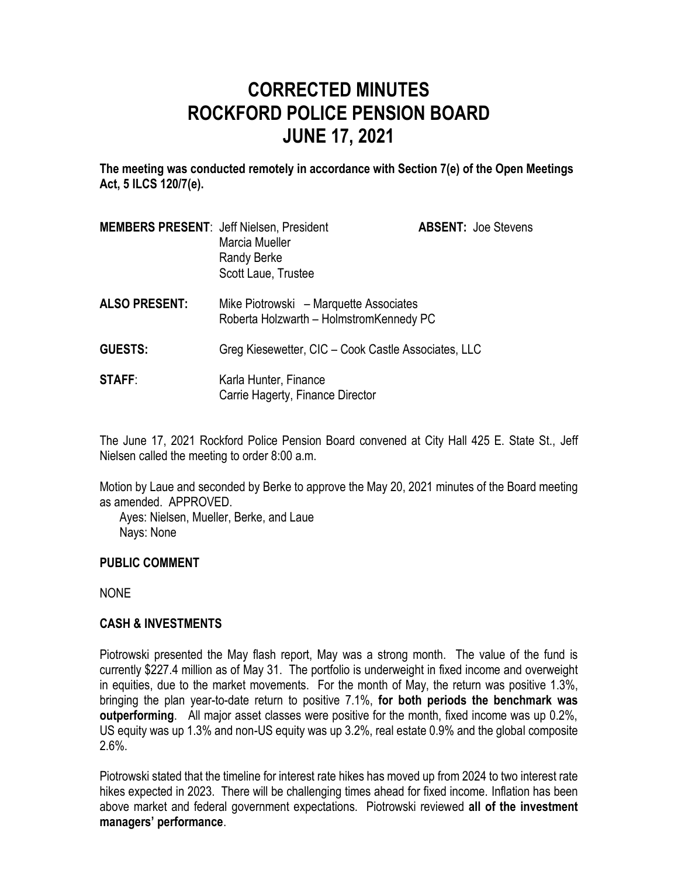# **CORRECTED MINUTES ROCKFORD POLICE PENSION BOARD JUNE 17, 2021**

**The meeting was conducted remotely in accordance with Section 7(e) of the Open Meetings Act, 5 ILCS 120/7(e).**

| <b>MEMBERS PRESENT: Jeff Nielsen, President</b> | Marcia Mueller<br>Randy Berke<br>Scott Laue, Trustee                              | <b>ABSENT: Joe Stevens</b> |
|-------------------------------------------------|-----------------------------------------------------------------------------------|----------------------------|
| <b>ALSO PRESENT:</b>                            | Mike Piotrowski – Marquette Associates<br>Roberta Holzwarth - HolmstromKennedy PC |                            |
| <b>GUESTS:</b>                                  | Greg Kiesewetter, CIC - Cook Castle Associates, LLC                               |                            |
| <b>STAFF:</b>                                   | Karla Hunter, Finance<br>Carrie Hagerty, Finance Director                         |                            |

The June 17, 2021 Rockford Police Pension Board convened at City Hall 425 E. State St., Jeff Nielsen called the meeting to order 8:00 a.m.

Motion by Laue and seconded by Berke to approve the May 20, 2021 minutes of the Board meeting as amended. APPROVED.

Ayes: Nielsen, Mueller, Berke, and Laue Nays: None

#### **PUBLIC COMMENT**

NONE

# **CASH & INVESTMENTS**

Piotrowski presented the May flash report, May was a strong month. The value of the fund is currently \$227.4 million as of May 31. The portfolio is underweight in fixed income and overweight in equities, due to the market movements. For the month of May, the return was positive 1.3%, bringing the plan year-to-date return to positive 7.1%, **for both periods the benchmark was outperforming**. All major asset classes were positive for the month, fixed income was up 0.2%, US equity was up 1.3% and non-US equity was up 3.2%, real estate 0.9% and the global composite 2.6%.

Piotrowski stated that the timeline for interest rate hikes has moved up from 2024 to two interest rate hikes expected in 2023. There will be challenging times ahead for fixed income. Inflation has been above market and federal government expectations. Piotrowski reviewed **all of the investment managers' performance**.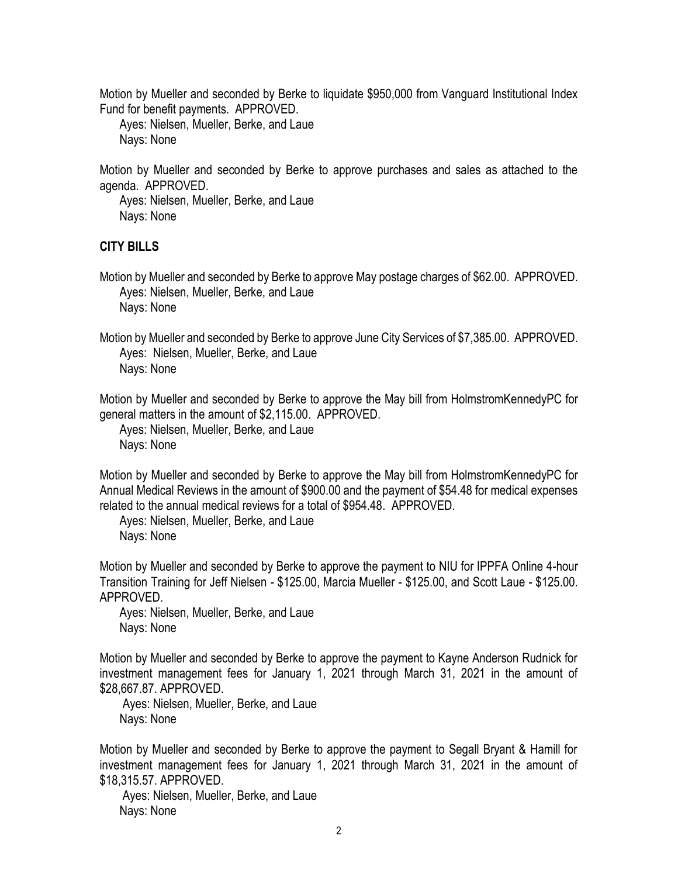Motion by Mueller and seconded by Berke to liquidate \$950,000 from Vanguard Institutional Index Fund for benefit payments. APPROVED.

Ayes: Nielsen, Mueller, Berke, and Laue Nays: None

Motion by Mueller and seconded by Berke to approve purchases and sales as attached to the agenda. APPROVED.

Ayes: Nielsen, Mueller, Berke, and Laue Nays: None

# **CITY BILLS**

Motion by Mueller and seconded by Berke to approve May postage charges of \$62.00. APPROVED. Ayes: Nielsen, Mueller, Berke, and Laue Nays: None

Motion by Mueller and seconded by Berke to approve June City Services of \$7,385.00. APPROVED. Ayes: Nielsen, Mueller, Berke, and Laue Nays: None

Motion by Mueller and seconded by Berke to approve the May bill from HolmstromKennedyPC for general matters in the amount of \$2,115.00. APPROVED.

Ayes: Nielsen, Mueller, Berke, and Laue Nays: None

Motion by Mueller and seconded by Berke to approve the May bill from HolmstromKennedyPC for Annual Medical Reviews in the amount of \$900.00 and the payment of \$54.48 for medical expenses related to the annual medical reviews for a total of \$954.48. APPROVED.

Ayes: Nielsen, Mueller, Berke, and Laue Nays: None

Motion by Mueller and seconded by Berke to approve the payment to NIU for IPPFA Online 4-hour Transition Training for Jeff Nielsen - \$125.00, Marcia Mueller - \$125.00, and Scott Laue - \$125.00. APPROVED.

Ayes: Nielsen, Mueller, Berke, and Laue Nays: None

Motion by Mueller and seconded by Berke to approve the payment to Kayne Anderson Rudnick for investment management fees for January 1, 2021 through March 31, 2021 in the amount of \$28,667.87. APPROVED.

Ayes: Nielsen, Mueller, Berke, and Laue Nays: None

Motion by Mueller and seconded by Berke to approve the payment to Segall Bryant & Hamill for investment management fees for January 1, 2021 through March 31, 2021 in the amount of \$18,315.57. APPROVED.

Ayes: Nielsen, Mueller, Berke, and Laue Nays: None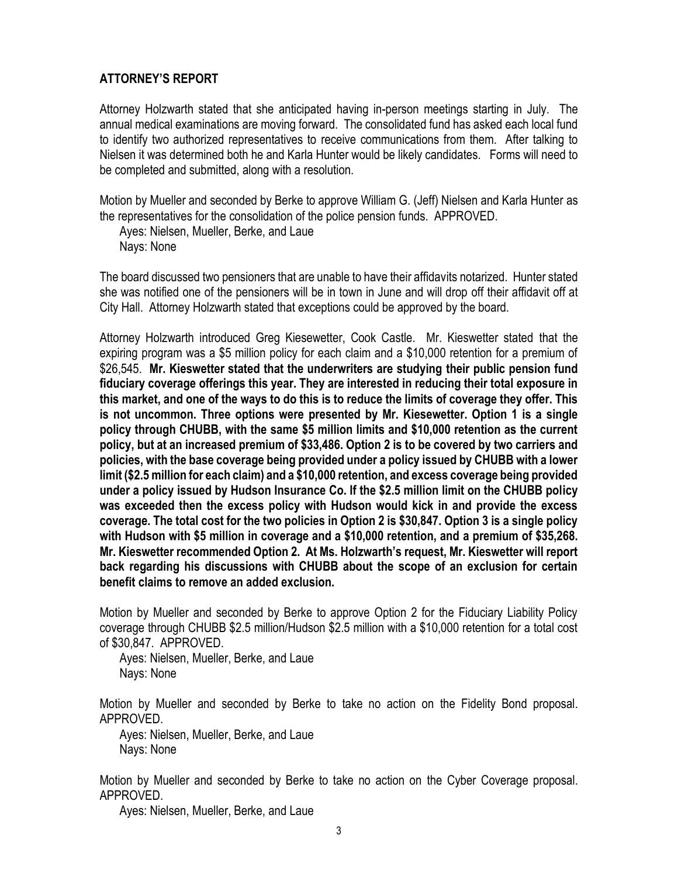# **ATTORNEY'S REPORT**

Attorney Holzwarth stated that she anticipated having in-person meetings starting in July. The annual medical examinations are moving forward. The consolidated fund has asked each local fund to identify two authorized representatives to receive communications from them. After talking to Nielsen it was determined both he and Karla Hunter would be likely candidates. Forms will need to be completed and submitted, along with a resolution.

Motion by Mueller and seconded by Berke to approve William G. (Jeff) Nielsen and Karla Hunter as the representatives for the consolidation of the police pension funds. APPROVED.

Ayes: Nielsen, Mueller, Berke, and Laue Nays: None

The board discussed two pensioners that are unable to have their affidavits notarized. Hunter stated she was notified one of the pensioners will be in town in June and will drop off their affidavit off at City Hall. Attorney Holzwarth stated that exceptions could be approved by the board.

Attorney Holzwarth introduced Greg Kiesewetter, Cook Castle. Mr. Kieswetter stated that the expiring program was a \$5 million policy for each claim and a \$10,000 retention for a premium of \$26,545. **Mr. Kieswetter stated that the underwriters are studying their public pension fund fiduciary coverage offerings this year. They are interested in reducing their total exposure in this market, and one of the ways to do this is to reduce the limits of coverage they offer. This is not uncommon. Three options were presented by Mr. Kiesewetter. Option 1 is a single policy through CHUBB, with the same \$5 million limits and \$10,000 retention as the current policy, but at an increased premium of \$33,486. Option 2 is to be covered by two carriers and policies, with the base coverage being provided under a policy issued by CHUBB with a lower limit (\$2.5 million for each claim) and a \$10,000 retention, and excess coverage being provided under a policy issued by Hudson Insurance Co. If the \$2.5 million limit on the CHUBB policy was exceeded then the excess policy with Hudson would kick in and provide the excess coverage. The total cost for the two policies in Option 2 is \$30,847. Option 3 is a single policy with Hudson with \$5 million in coverage and a \$10,000 retention, and a premium of \$35,268. Mr. Kieswetter recommended Option 2. At Ms. Holzwarth's request, Mr. Kieswetter will report back regarding his discussions with CHUBB about the scope of an exclusion for certain benefit claims to remove an added exclusion.** 

Motion by Mueller and seconded by Berke to approve Option 2 for the Fiduciary Liability Policy coverage through CHUBB \$2.5 million/Hudson \$2.5 million with a \$10,000 retention for a total cost of \$30,847. APPROVED.

Ayes: Nielsen, Mueller, Berke, and Laue Nays: None

Motion by Mueller and seconded by Berke to take no action on the Fidelity Bond proposal. APPROVED.

Ayes: Nielsen, Mueller, Berke, and Laue Nays: None

Motion by Mueller and seconded by Berke to take no action on the Cyber Coverage proposal. APPROVED.

Ayes: Nielsen, Mueller, Berke, and Laue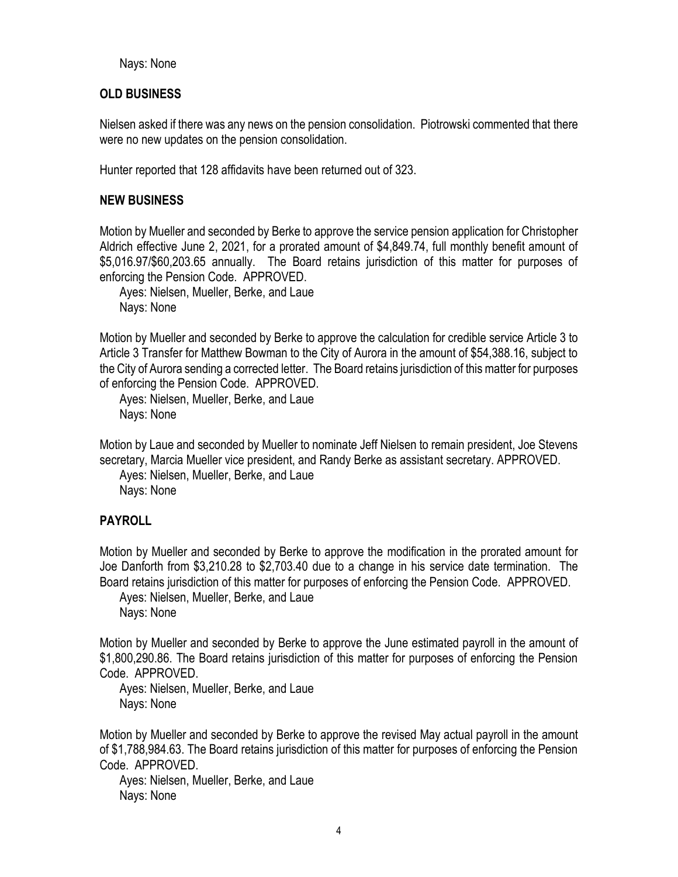Nays: None

## **OLD BUSINESS**

Nielsen asked if there was any news on the pension consolidation. Piotrowski commented that there were no new updates on the pension consolidation.

Hunter reported that 128 affidavits have been returned out of 323.

## **NEW BUSINESS**

Motion by Mueller and seconded by Berke to approve the service pension application for Christopher Aldrich effective June 2, 2021, for a prorated amount of \$4,849.74, full monthly benefit amount of \$5,016.97/\$60,203.65 annually. The Board retains jurisdiction of this matter for purposes of enforcing the Pension Code. APPROVED.

Ayes: Nielsen, Mueller, Berke, and Laue Nays: None

Motion by Mueller and seconded by Berke to approve the calculation for credible service Article 3 to Article 3 Transfer for Matthew Bowman to the City of Aurora in the amount of \$54,388.16, subject to the City of Aurora sending a corrected letter. The Board retains jurisdiction of this matter for purposes of enforcing the Pension Code. APPROVED.

Ayes: Nielsen, Mueller, Berke, and Laue Nays: None

Motion by Laue and seconded by Mueller to nominate Jeff Nielsen to remain president, Joe Stevens secretary, Marcia Mueller vice president, and Randy Berke as assistant secretary. APPROVED.

Ayes: Nielsen, Mueller, Berke, and Laue Nays: None

# **PAYROLL**

Motion by Mueller and seconded by Berke to approve the modification in the prorated amount for Joe Danforth from \$3,210.28 to \$2,703.40 due to a change in his service date termination. The Board retains jurisdiction of this matter for purposes of enforcing the Pension Code. APPROVED.

Ayes: Nielsen, Mueller, Berke, and Laue Nays: None

Motion by Mueller and seconded by Berke to approve the June estimated payroll in the amount of \$1,800,290.86. The Board retains jurisdiction of this matter for purposes of enforcing the Pension Code. APPROVED.

Ayes: Nielsen, Mueller, Berke, and Laue Nays: None

Motion by Mueller and seconded by Berke to approve the revised May actual payroll in the amount of \$1,788,984.63. The Board retains jurisdiction of this matter for purposes of enforcing the Pension Code. APPROVED.

Ayes: Nielsen, Mueller, Berke, and Laue Nays: None